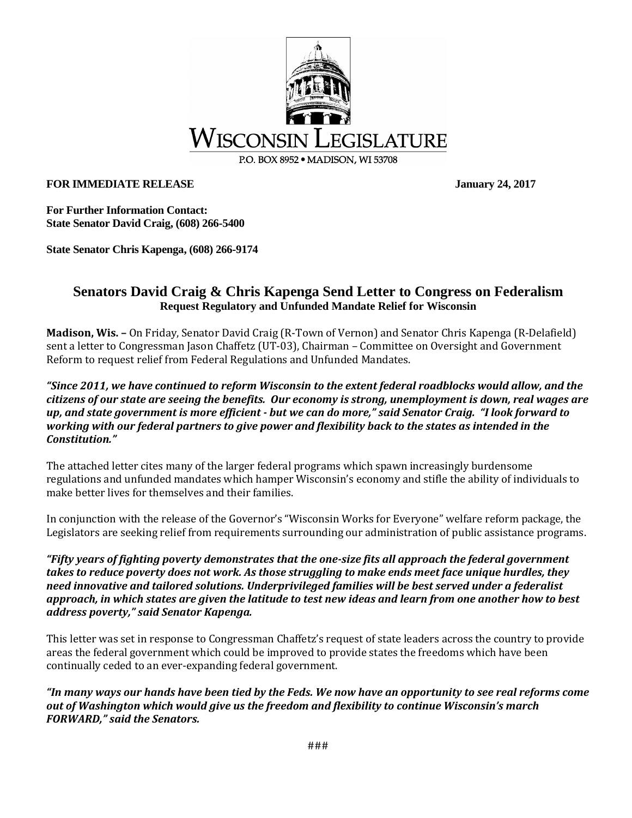

**FOR IMMEDIATE RELEASE** January 24, 2017

**For Further Information Contact: State Senator David Craig, (608) 266-5400**

**State Senator Chris Kapenga, (608) 266-9174** 

## **Senators David Craig & Chris Kapenga Send Letter to Congress on Federalism Request Regulatory and Unfunded Mandate Relief for Wisconsin**

**Madison, Wis. –** On Friday, Senator David Craig (R-Town of Vernon) and Senator Chris Kapenga (R-Delafield) sent a letter to Congressman Jason Chaffetz (UT-03), Chairman – Committee on Oversight and Government Reform to request relief from Federal Regulations and Unfunded Mandates.

*"Since 2011, we have continued to reform Wisconsin to the extent federal roadblocks would allow, and the citizens of our state are seeing the benefits. Our economy is strong, unemployment is down, real wages are up, and state government is more efficient - but we can do more," said Senator Craig. "I look forward to working with our federal partners to give power and flexibility back to the states as intended in the Constitution."*

The attached letter cites many of the larger federal programs which spawn increasingly burdensome regulations and unfunded mandates which hamper Wisconsin's economy and stifle the ability of individuals to make better lives for themselves and their families.

In conjunction with the release of the Governor's "Wisconsin Works for Everyone" welfare reform package, the Legislators are seeking relief from requirements surrounding our administration of public assistance programs.

*"Fifty years of fighting poverty demonstrates that the one-size fits all approach the federal government takes to reduce poverty does not work. As those struggling to make ends meet face unique hurdles, they need innovative and tailored solutions. Underprivileged families will be best served under a federalist approach, in which states are given the latitude to test new ideas and learn from one another how to best address poverty," said Senator Kapenga.* 

This letter was set in response to Congressman Chaffetz's request of state leaders across the country to provide areas the federal government which could be improved to provide states the freedoms which have been continually ceded to an ever-expanding federal government.

*"In many ways our hands have been tied by the Feds. We now have an opportunity to see real reforms come out of Washington which would give us the freedom and flexibility to continue Wisconsin's march FORWARD," said the Senators.*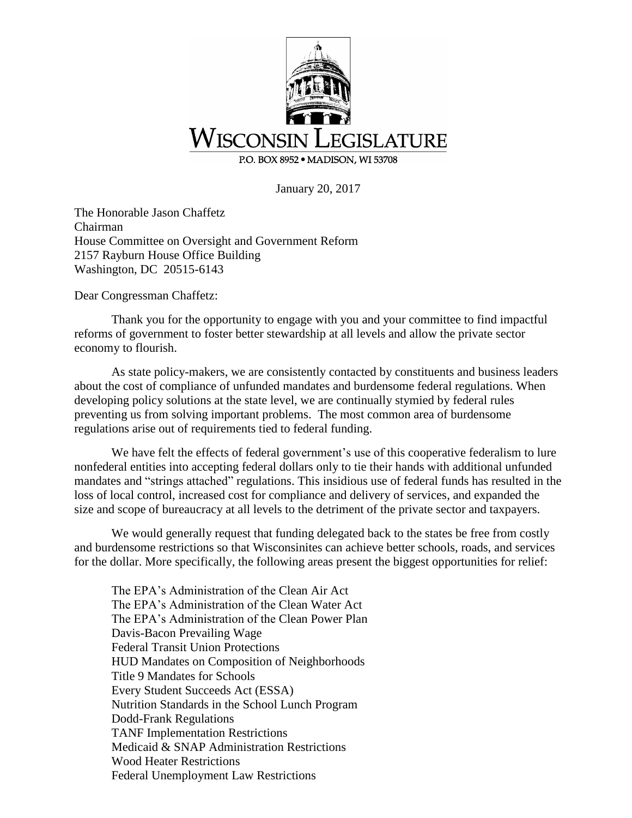

January 20, 2017

The Honorable Jason Chaffetz Chairman House Committee on Oversight and Government Reform 2157 Rayburn House Office Building Washington, DC 20515-6143

Dear Congressman Chaffetz:

Thank you for the opportunity to engage with you and your committee to find impactful reforms of government to foster better stewardship at all levels and allow the private sector economy to flourish.

As state policy-makers, we are consistently contacted by constituents and business leaders about the cost of compliance of unfunded mandates and burdensome federal regulations. When developing policy solutions at the state level, we are continually stymied by federal rules preventing us from solving important problems. The most common area of burdensome regulations arise out of requirements tied to federal funding.

We have felt the effects of federal government's use of this cooperative federalism to lure nonfederal entities into accepting federal dollars only to tie their hands with additional unfunded mandates and "strings attached" regulations. This insidious use of federal funds has resulted in the loss of local control, increased cost for compliance and delivery of services, and expanded the size and scope of bureaucracy at all levels to the detriment of the private sector and taxpayers.

We would generally request that funding delegated back to the states be free from costly and burdensome restrictions so that Wisconsinites can achieve better schools, roads, and services for the dollar. More specifically, the following areas present the biggest opportunities for relief:

The EPA's Administration of the Clean Air Act The EPA's Administration of the Clean Water Act The EPA's Administration of the Clean Power Plan Davis-Bacon Prevailing Wage Federal Transit Union Protections HUD Mandates on Composition of Neighborhoods Title 9 Mandates for Schools Every Student Succeeds Act (ESSA) Nutrition Standards in the School Lunch Program Dodd-Frank Regulations TANF Implementation Restrictions Medicaid & SNAP Administration Restrictions Wood Heater Restrictions Federal Unemployment Law Restrictions